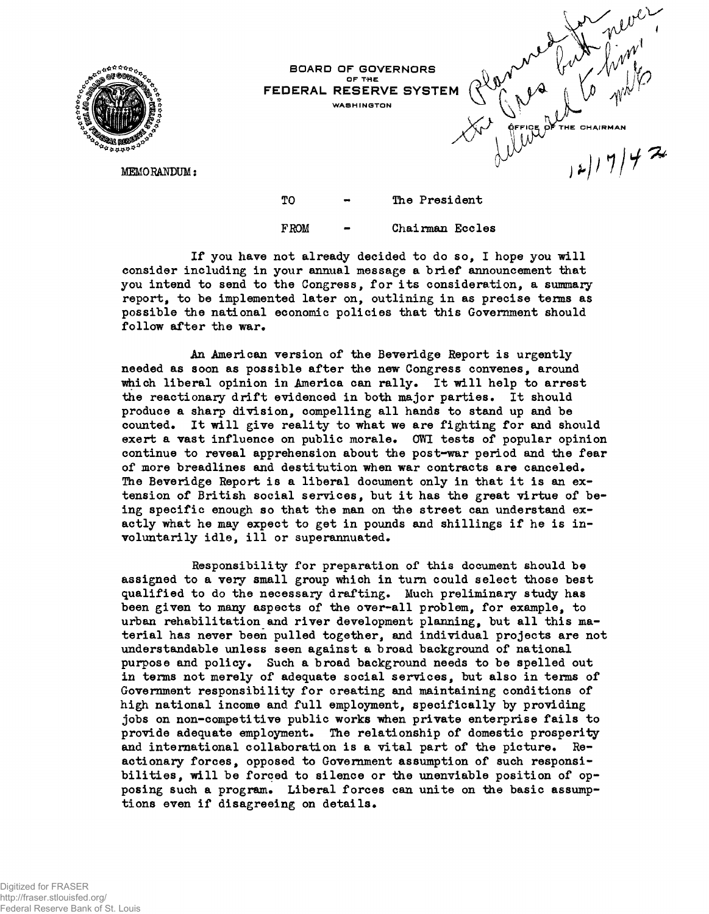

**BOARD OF GOVERNORS** FEDERAL RESERVE SYSTEM **WASHINGTON**

 $\gamma^{\mu\nu}$ 

 $L17772$ 

THE CHAIRMAN

MEMORANDUM:

TO - The President

FROM - Chairman Eccles

If you have not already decided to do so, I hope you will consider including in your annual message a brief announcement that you intend to send to the Congress, for its consideration, a summary report, to be implemented later on, outlining in as precise terms as possible the national economic policies that this Government should follow after the war.

An American version of the Beveridge Report is urgently needed as soon as possible after the new Congress convenes, around which liberal opinion in America can rally. It will help to arrest the reactionary drift evidenced in both major parties. It should produce a sharp division, compelling all hands to stand up and be counted. It will give reality to what we are fighting for and should exert a vast influence on public morale. OWL tests of popular opinion continue to reveal apprehension about the post-war period and the fear of more breadlines and destitution when war contracts are canceled. The Beveridge Report is a liberal document only in that it is an extension of British social services, but it has the great virtue of being specific enough so that the man on the street can understand exactly what he may expect to get in pounds and shillings if he is involuntarily idle, ill or superannuated.

Responsibility for preparation of this document should be assigned to a very small group which in turn could select those best qualified to do the necessary drafting. Much preliminary study has been given to many aspects of the over-all problem, for example, to urban rehabilitation and river development planning, but all this material has never been pulled together, and individual projects are not understandable unless seen against a broad background of national purpose and policy. Such a broad background needs to be spelled out in terms not merely of adequate social services, but also in terras of Government responsibility for creating and maintaining conditions of high national income and full employment, specifically by providing jobs on non-competitive public works when private enterprise fails to provide adequate employment. The relationship of domestic prosperity and international collaboration is a vital part of the picture. Reactionary forces, opposed to Government assumption of such responsibilities, will be forced to silence or the unenviable position of opposing such a program. Liberal forces can unite on the basic assumptions even if disagreeing on details.